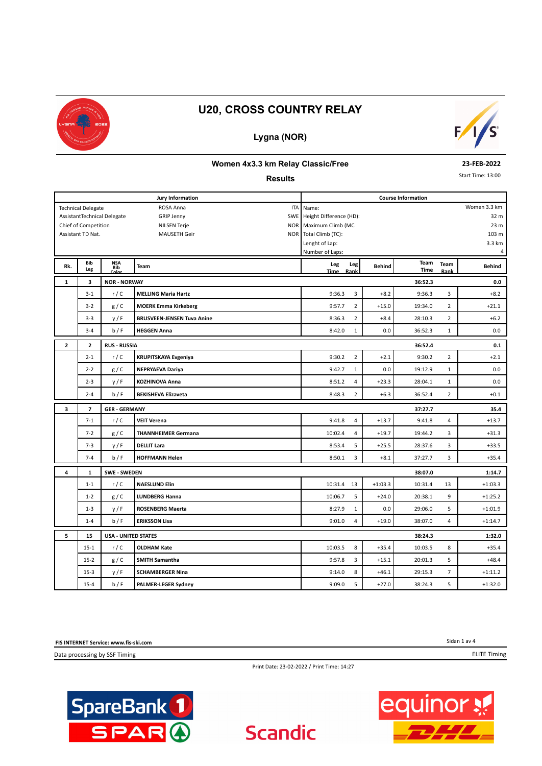

### **Lygna (NOR)**



#### **Women 4x3.3 km Relay Classic/Free**

#### **Results**

**23-FEB-2022**

Start Time: 13:00

|              |                           |                                   | <b>Jury Information</b>           | <b>Course Information</b>   |               |                     |                |                 |  |  |  |
|--------------|---------------------------|-----------------------------------|-----------------------------------|-----------------------------|---------------|---------------------|----------------|-----------------|--|--|--|
|              | <b>Technical Delegate</b> |                                   | ROSA Anna<br>ITA                  | Women 3.3 km<br>Name:       |               |                     |                |                 |  |  |  |
|              |                           | AssistantTechnical Delegate       | <b>GRIP Jenny</b>                 | SWE Height Difference (HD): |               |                     |                | 32 m            |  |  |  |
|              | Chief of Competition      |                                   | <b>NILSEN Terje</b><br><b>NOR</b> | Maximum Climb (MC           |               |                     |                | 23 <sub>m</sub> |  |  |  |
|              | Assistant TD Nat.         |                                   | NOR<br><b>MAUSETH Geir</b>        | Total Climb (TC):           |               |                     |                | 103 m           |  |  |  |
|              |                           |                                   |                                   | Lenght of Lap:              |               |                     |                | 3.3 km          |  |  |  |
|              |                           |                                   |                                   | Number of Laps:             |               |                     |                | 4               |  |  |  |
| Rk.          | Bib<br>Leg                | <b>NSA</b><br><b>Bib</b><br>Color | <b>Team</b>                       | Leg<br>Leg<br>Rank<br>Time  | <b>Behind</b> | Team<br><b>Time</b> | Team<br>Rank   | <b>Behind</b>   |  |  |  |
| 1            | 3                         | <b>NOR - NORWAY</b>               |                                   |                             |               | 36:52.3             |                | 0.0             |  |  |  |
|              | $3 - 1$                   | r/C                               | <b>MELLING Maria Hartz</b>        | 3<br>9:36.3                 | $+8.2$        | 9:36.3              | 3              | $+8.2$          |  |  |  |
|              | $3 - 2$                   | g/C                               | <b>MOERK Emma Kirkeberg</b>       | $\overline{2}$<br>9:57.7    | $+15.0$       | 19:34.0             | $\overline{2}$ | $+21.1$         |  |  |  |
|              | $3 - 3$                   | y/F                               | <b>BRUSVEEN-JENSEN Tuva Anine</b> | $\overline{2}$<br>8:36.3    | $+8.4$        | 28:10.3             | $\overline{2}$ | $+6.2$          |  |  |  |
|              | $3 - 4$                   | b/F                               | <b>HEGGEN Anna</b>                | 8:42.0<br>$\mathbf{1}$      | 0.0           | 36:52.3             | $\mathbf{1}$   | 0.0             |  |  |  |
| $\mathbf{z}$ | $\mathbf{z}$              | <b>RUS - RUSSIA</b>               |                                   |                             |               | 36:52.4             |                | 0.1             |  |  |  |
|              | $2 - 1$                   | r/C                               | <b>KRUPITSKAYA Evgeniya</b>       | $\overline{2}$<br>9:30.2    | $+2.1$        | 9:30.2              | $\overline{2}$ | $+2.1$          |  |  |  |
|              | $2 - 2$                   | g/C                               | <b>NEPRYAEVA Dariya</b>           | 9:42.7<br>$\mathbf{1}$      | 0.0           | 19:12.9             | $\mathbf{1}$   | 0.0             |  |  |  |
|              | $2 - 3$                   | y/F                               | <b>KOZHINOVA Anna</b>             | 4<br>8:51.2                 | $+23.3$       | 28:04.1             | $\mathbf{1}$   | 0.0             |  |  |  |
|              | $2 - 4$                   | b/F                               | <b>BEKISHEVA Elizaveta</b>        | $\overline{2}$<br>8:48.3    | $+6.3$        | 36:52.4             | $\overline{2}$ | $+0.1$          |  |  |  |
| 3            | $\overline{7}$            | <b>GER - GERMANY</b>              |                                   | 37:27.7                     |               |                     |                |                 |  |  |  |
|              | $7 - 1$                   | r/C                               | <b>VEIT Verena</b>                | 4<br>9:41.8                 | $+13.7$       | 9:41.8              | 4              | $+13.7$         |  |  |  |
|              | $7 - 2$                   | g/C                               | <b>THANNHEIMER Germana</b>        | 10:02.4<br>4                | $+19.7$       | 19:44.2             | 3              | $+31.3$         |  |  |  |
|              | $7 - 3$                   | y/F                               | <b>DELLIT Lara</b>                | 5<br>8:53.4                 | $+25.5$       | 28:37.6             | 3              | $+33.5$         |  |  |  |
|              | $7 - 4$                   | b/F                               | <b>HOFFMANN Helen</b>             | 3<br>8:50.1                 | $+8.1$        | 37:27.7             | 3              | $+35.4$         |  |  |  |
| 4            | 1                         | <b>SWE - SWEDEN</b>               |                                   |                             |               | 38:07.0             |                | 1:14.7          |  |  |  |
|              | $1 - 1$                   | r/C                               | <b>NAESLUND Elin</b>              | 13<br>10:31.4               | $+1:03.3$     | 10:31.4             | 13             | $+1:03.3$       |  |  |  |
|              | $1 - 2$                   | g/C                               | <b>LUNDBERG Hanna</b>             | 5<br>10:06.7                | $+24.0$       | 20:38.1             | 9              | $+1:25.2$       |  |  |  |
|              | $1 - 3$                   | y/F                               | <b>ROSENBERG Maerta</b>           | 8:27.9<br>$\mathbf 1$       | 0.0           | 29:06.0             | 5              | $+1:01.9$       |  |  |  |
|              | $1 - 4$                   | b/F                               | <b>ERIKSSON Lisa</b>              | 9:01.0<br>4                 | $+19.0$       | 38:07.0             | $\overline{4}$ | $+1:14.7$       |  |  |  |
| 5            | 15                        | <b>USA - UNITED STATES</b>        |                                   |                             |               | 38:24.3             |                | 1:32.0          |  |  |  |
|              | $15 - 1$                  | r/C                               | <b>OLDHAM Kate</b>                | 8<br>10:03.5                | $+35.4$       | 10:03.5             | 8              | $+35.4$         |  |  |  |
|              | $15 - 2$                  | g/C                               | <b>SMITH Samantha</b>             | 3<br>9:57.8                 | $+15.1$       | 20:01.3             | 5              | $+48.4$         |  |  |  |
|              | $15 - 3$                  | y/F                               | <b>SCHAMBERGER Nina</b>           | 8<br>9:14.0                 | $+46.1$       | 29:15.3             | 7              | $+1:11.2$       |  |  |  |
|              | $15 - 4$                  | b/F                               | <b>PALMER-LEGER Sydney</b>        | 5<br>9:09.0                 | $+27.0$       | 38:24.3             | 5              | $+1:32.0$       |  |  |  |

**FIS INTERNET Service: www.fis-ski.com**

Data processing by SSF Timing

Sidan 1 av 4 ELITE Timing

Print Date: 23-02-2022 / Print Time: 14:27

**Scandic** 



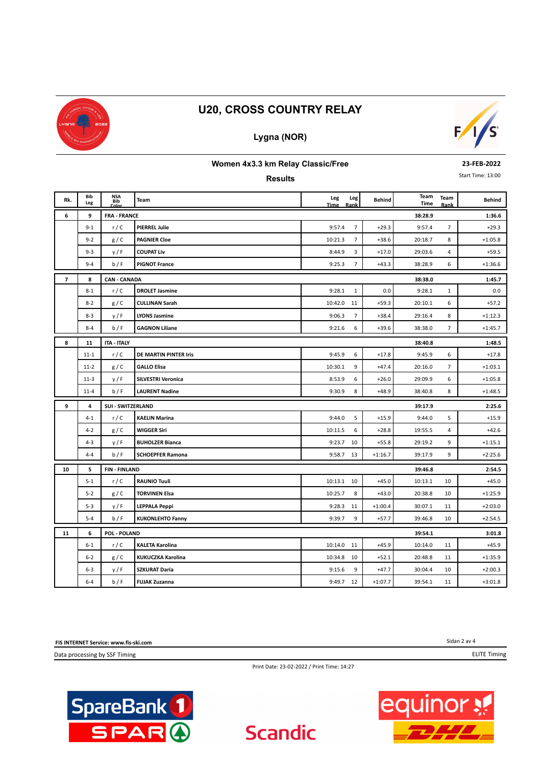

## **Lygna (NOR)**



#### **Women 4x3.3 km Relay Classic/Free**

**Results**

**23-FEB-2022**

Start Time: 13:00

| Rk.            | Bib      | NSA<br>Bib               | Team                      | Leg     | Leg            | <b>Behind</b> | Team    | Team           | <b>Behind</b> |
|----------------|----------|--------------------------|---------------------------|---------|----------------|---------------|---------|----------------|---------------|
|                | Leg      | Color                    |                           | Time    | Rank           |               | Time    | Rank           |               |
| 6              | 9        | <b>FRA - FRANCE</b>      |                           |         | $\overline{7}$ |               | 38:28.9 | $\overline{7}$ | 1:36.6        |
|                | $9 - 1$  | r/C                      | <b>PIERREL Julie</b>      | 9:57.4  |                | $+29.3$       | 9:57.4  |                | $+29.3$       |
|                | $9 - 2$  | g/C                      | <b>PAGNIER Cloe</b>       | 10:21.3 | $\overline{7}$ | $+38.6$       | 20:18.7 | 8              | $+1:05.8$     |
|                | $9 - 3$  | y/F                      | <b>COUPAT Liv</b>         | 8:44.9  | 3              | $+17.0$       | 29:03.6 | 4              | $+59.5$       |
|                | $9 - 4$  | b/F                      | <b>PIGNOT France</b>      | 9:25.3  | $\overline{7}$ | $+43.3$       | 38:28.9 | 6              | $+1:36.6$     |
| $\overline{7}$ | 8        | <b>CAN - CANADA</b>      |                           |         |                |               | 38:38.0 |                | 1:45.7        |
|                | $8 - 1$  | r/C                      | <b>DROLET Jasmine</b>     | 9:28.1  | $\mathbf{1}$   | 0.0           | 9:28.1  | $\mathbf{1}$   | 0.0           |
|                | $8 - 2$  | g/C                      | <b>CULLINAN Sarah</b>     | 10:42.0 | 11             | $+59.3$       | 20:10.1 | 6              | $+57.2$       |
|                | $8 - 3$  | y/F                      | LYONS Jasmine             | 9:06.3  | $\overline{7}$ | $+38.4$       | 29:16.4 | 8              | $+1:12.3$     |
|                | $8 - 4$  | b/F                      | <b>GAGNON Liliane</b>     | 9:21.6  | 6              | $+39.6$       | 38:38.0 | $\overline{7}$ | $+1:45.7$     |
| 8              | 11       | <b>ITA - ITALY</b>       |                           |         |                |               | 38:40.8 |                | 1:48.5        |
|                | $11 - 1$ | r/C                      | DE MARTIN PINTER Iris     | 9:45.9  | 6              | $+17.8$       | 9:45.9  | 6              | $+17.8$       |
|                | $11 - 2$ | g/C                      | <b>GALLO Elisa</b>        | 10:30.1 | 9              | $+47.4$       | 20:16.0 | $\overline{7}$ | $+1:03.1$     |
|                | $11-3$   | y/F                      | <b>SILVESTRI Veronica</b> | 8:53.9  | 6              | $+26.0$       | 29:09.9 | 6              | $+1:05.8$     |
|                | $11 - 4$ | b/F                      | <b>LAURENT Nadine</b>     | 9:30.9  | 8              | $+48.9$       | 38:40.8 | 8              | $+1:48.5$     |
| 9              | 4        | <b>SUI - SWITZERLAND</b> |                           |         | 39:17.9        |               |         |                |               |
|                | $4 - 1$  | r/C                      | <b>KAELIN Marina</b>      | 9:44.0  | 5              | $+15.9$       | 9:44.0  | 5              | $+15.9$       |
|                | $4 - 2$  | g/C                      | <b>WIGGER Siri</b>        | 10:11.5 | 6              | $+28.8$       | 19:55.5 | 4              | $+42.6$       |
|                | $4 - 3$  | y/F                      | <b>BUHOLZER Bianca</b>    | 9:23.7  | 10             | $+55.8$       | 29:19.2 | 9              | $+1:15.1$     |
|                | $4 - 4$  | b/F                      | <b>SCHOEPFER Ramona</b>   | 9:58.7  | 13             | $+1:16.7$     | 39:17.9 | 9              | $+2:25.6$     |
| 10             | 5        | <b>FIN-FINLAND</b>       |                           |         |                |               | 39:46.8 |                | 2:54.5        |
|                | $5 - 1$  | r/C                      | <b>RAUNIO Tuuli</b>       | 10:13.1 | 10             | $+45.0$       | 10:13.1 | 10             | $+45.0$       |
|                | $5 - 2$  | g/C                      | <b>TORVINEN Elsa</b>      | 10:25.7 | 8              | $+43.0$       | 20:38.8 | 10             | $+1:25.9$     |
|                | $5 - 3$  | y/F                      | <b>LEPPALA Peppi</b>      | 9:28.3  | 11             | $+1:00.4$     | 30:07.1 | 11             | $+2:03.0$     |
|                | $5 - 4$  | b/F                      | <b>KUKONLEHTO Fanny</b>   | 9:39.7  | 9              | $+57.7$       | 39:46.8 | 10             | $+2:54.5$     |
| 11             | 6        | POL - POLAND             |                           |         |                |               | 39:54.1 |                | 3:01.8        |
|                | $6 - 1$  | r/C                      | <b>KALETA Karolina</b>    | 10:14.0 | 11             | $+45.9$       | 10:14.0 | 11             | $+45.9$       |
|                | $6 - 2$  | g/C                      | KUKUCZKA Karolina         | 10:34.8 | 10             | $+52.1$       | 20:48.8 | 11             | $+1:35.9$     |
|                | $6 - 3$  | y/F                      | <b>SZKURAT Daria</b>      | 9:15.6  | 9              | $+47.7$       | 30:04.4 | 10             | $+2:00.3$     |
|                | $6 - 4$  | b/F                      | <b>FUJAK Zuzanna</b>      | 9:49.7  | 12             | $+1:07.7$     | 39:54.1 | 11             | $+3:01.8$     |

**FIS INTERNET Service: www.fis-ski.com**

Data processing by SSF Timing



Print Date: 23-02-2022 / Print Time: 14:27

**Scandic** 



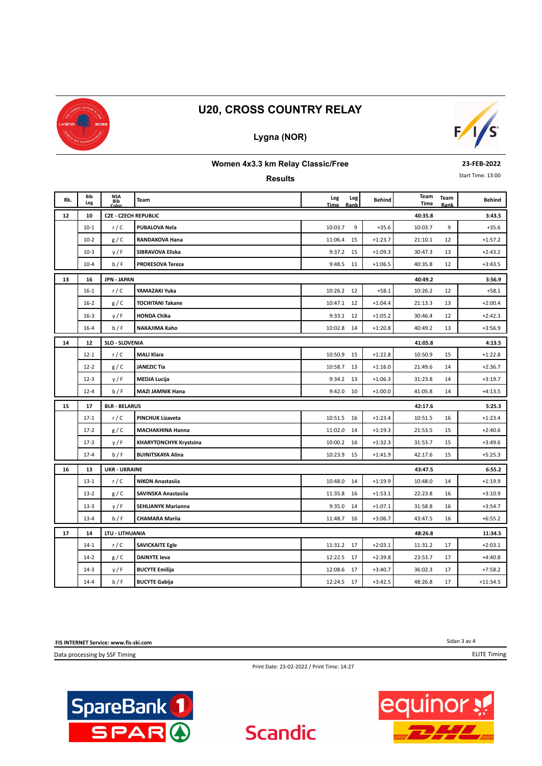

## **Lygna (NOR)**



#### **Women 4x3.3 km Relay Classic/Free**

**Results**

**23-FEB-2022**

Start Time: 13:00

| Rk. | Bib<br>Leg | <b>NSA</b><br>Bib           | <b>Team</b>                   | Leg<br><b>Time</b> | Leg<br>Rank | <b>Behind</b> | Team<br>Time | Team<br>Rank | Behind     |
|-----|------------|-----------------------------|-------------------------------|--------------------|-------------|---------------|--------------|--------------|------------|
| 12  | 10         | <b>CZE - CZECH REPUBLIC</b> |                               |                    |             |               | 40:35.8      |              | 3:43.5     |
|     | $10-1$     | r/C                         | <b>PUBALOVA Nela</b>          | 10:03.7            | 9           | $+35.6$       | 10:03.7      | 9            | $+35.6$    |
|     | $10-2$     | g/C                         | RANDAKOVA Hana                | 11:06.4            | 15          | $+1:23.7$     | 21:10.1      | 12           | $+1:57.2$  |
|     | $10-3$     | y/F                         | SIBRAVOVA Eliska              | 9:37.2             | 15          | $+1:09.3$     | 30:47.3      | 13           | $+2:43.2$  |
|     | $10 - 4$   | b/F                         | PROKESOVA Tereza              | 9:48.5             | 11          | $+1:06.5$     | 40:35.8      | 12           | $+3:43.5$  |
| 13  | 16         | <b>JPN - JAPAN</b>          |                               |                    |             |               | 40:49.2      |              | 3:56.9     |
|     | $16 - 1$   | r/C                         | YAMAZAKI Yuka                 | 10:26.2 12         |             | $+58.1$       | 10:26.2      | 12           | $+58.1$    |
|     | $16 - 2$   | g/C                         | <b>TOCHITANI Takane</b>       | 10:47.1            | 12          | $+1:04.4$     | 21:13.3      | 13           | $+2:00.4$  |
|     | $16 - 3$   | y/F                         | <b>HONDA Chika</b>            | 9:33.1             | 12          | $+1:05.2$     | 30:46.4      | 12           | $+2:42.3$  |
|     | $16 - 4$   | b/F                         | NAKAJIMA Kaho                 | 10:02.8            | 14          | $+1:20.8$     | 40:49.2      | 13           | $+3:56.9$  |
| 14  | 12         | <b>SLO - SLOVENIA</b>       |                               |                    |             |               | 41:05.8      |              | 4:13.5     |
|     | $12 - 1$   | r/C                         | <b>MALI Klara</b>             | 10:50.9            | 15          | $+1:22.8$     | 10:50.9      | 15           | $+1:22.8$  |
|     | $12 - 2$   | g/C                         | <b>JANEZIC Tia</b>            | 10:58.7            | 13          | $+1:16.0$     | 21:49.6      | 14           | $+2:36.7$  |
|     | $12 - 3$   | y/F                         | <b>MEDJA Lucija</b>           | 9:34.2             | 13          | $+1:06.3$     | 31:23.8      | 14           | $+3:19.7$  |
|     | $12 - 4$   | b/F                         | <b>MAZI JAMNIK Hana</b>       | 9:42.0             | 10          | $+1:00.0$     | 41:05.8      | 14           | $+4:13.5$  |
| 15  | 17         | <b>BLR - BELARUS</b>        | 42:17.6                       |                    |             |               |              |              | 5:25.3     |
|     | $17 - 1$   | r/C                         | <b>PINCHUK Lizaveta</b>       | 10:51.5            | 16          | $+1:23.4$     | 10:51.5      | 16           | $+1:23.4$  |
|     | $17-2$     | g/C                         | <b>MACHAKHINA Hanna</b>       | 11:02.0            | 14          | $+1:19.3$     | 21:53.5      | 15           | $+2:40.6$  |
|     | $17-3$     | y/F                         | <b>KHARYTONCHYK Krystsina</b> | 10:00.2            | 16          | $+1:32.3$     | 31:53.7      | 15           | $+3:49.6$  |
|     | $17 - 4$   | b/F                         | <b>BUINITSKAYA Alina</b>      | 10:23.9            | 15          | $+1:41.9$     | 42:17.6      | 15           | $+5:25.3$  |
| 16  | 13         | <b>UKR - UKRAINE</b>        |                               |                    |             |               | 43:47.5      |              | 6:55.2     |
|     | $13-1$     | r/C                         | <b>NIKON Anastasiia</b>       | 10:48.0            | 14          | $+1:19.9$     | 10:48.0      | 14           | $+1:19.9$  |
|     | $13-2$     | g/C                         | SAVINSKA Anastasiia           | 11:35.8            | 16          | $+1:53.1$     | 22:23.8      | 16           | $+3:10.9$  |
|     | $13 - 3$   | y/F                         | <b>SEHLIANYK Marianna</b>     | 9:35.0             | 14          | $+1:07.1$     | 31:58.8      | 16           | $+3:54.7$  |
|     | $13 - 4$   | b/F                         | <b>CHAMARA Mariia</b>         | 11:48.7            | 16          | $+3:06.7$     | 43:47.5      | 16           | $+6:55.2$  |
| 17  | 14         | LTU - LITHUANIA             |                               |                    |             |               | 48:26.8      |              | 11:34.5    |
|     | $14-1$     | r/C                         | <b>SAVICKAITE Egle</b>        | 11:31.2            | 17          | $+2:03.1$     | 11:31.2      | 17           | $+2:03.1$  |
|     | $14-2$     | g/C                         | <b>DAINYTE leva</b>           | 12:22.5            | 17          | $+2:39.8$     | 23:53.7      | 17           | $+4:40.8$  |
|     | $14-3$     | y/F                         | <b>BUCYTE Emilija</b>         | 12:08.6            | 17          | $+3:40.7$     | 36:02.3      | 17           | $+7:58.2$  |
|     | $14 - 4$   | b/F                         | <b>BUCYTE Gabija</b>          | 12:24.5 17         |             | $+3:42.5$     | 48:26.8      | 17           | $+11:34.5$ |

**FIS INTERNET Service: www.fis-ski.com**

Data processing by SSF Timing



Print Date: 23-02-2022 / Print Time: 14:27

**Scandic**